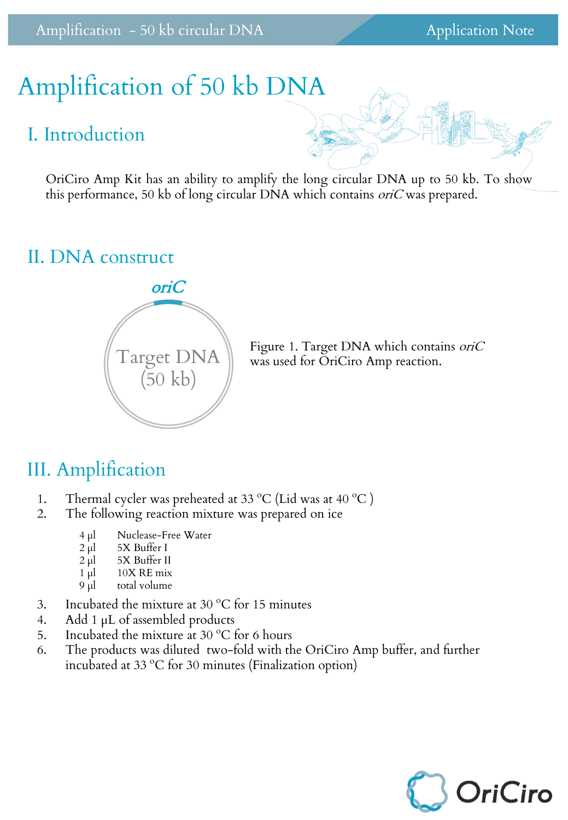# Amplification of 50 kb DNA

#### I. Introduction

OriCiro Amp Kit has an ability to amplify the long circular DNA up to 50 kb. To show this performance, 50 kb of long circular DNA which contains *oriC* was prepared.

## II. DNA construct



Figure 1. Target DNA which contains *oriC* was used for OriCiro Amp reaction.

## III. Amplification

- 1. Thermal cycler was preheated at 33 °C (Lid was at 40 °C )
- 2. The following reaction mixture was prepared on ice
	- 4 µl Nuclease-Free Water
	- $2 \mu$ l 5X Buffer I
	- $2 \text{ µl}$  5X Buffer II
	- $1 \mu$  10X RE mix
	- 9 µl total volume
- 3. Incubated the mixture at 30  $^{\circ}$ C for 15 minutes
- 4. Add 1  $\mu$ L of assembled products
- 5. Incubated the mixture at 30  $^{\circ}$ C for 6 hours
- 6. The products was diluted two-fold with the OriCiro Amp buffer, and further incubated at 33 ºC for 30 minutes (Finalization option)